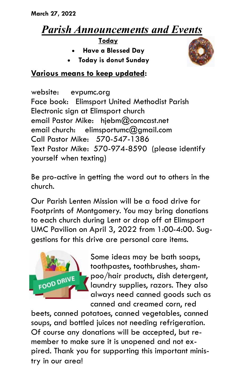# *Parish Announcements and Events*

**Today**

- **Have a Blessed Day**
- **Today is donut Sunday**



## **Various means to keep updated:**

website: evpumc.org Face book: Elimsport United Methodist Parish Electronic sign at Elimsport church email Pastor Mike: hjebm@comcast.net email church: elimsportumc $@$ amail.com Call Pastor Mike: 570-547-1386 Text Pastor Mike: 570-974-8590 (please identify yourself when texting)

Be pro-active in getting the word out to others in the church.

Our Parish Lenten Mission will be a food drive for Footprints of Montgomery. You may bring donations to each church during Lent or drop off at Elimsport UMC Pavilion on April 3, 2022 from 1:00-4:00. Suggestions for this drive are personal care items.



Some ideas may be bath soaps, toothpastes, toothbrushes, shampoo/hair products, dish detergent, laundry supplies, razors. They also always need canned goods such as canned and creamed corn, red

beets, canned potatoes, canned vegetables, canned soups, and bottled juices not needing refrigeration. Of course any donations will be accepted, but remember to make sure it is unopened and not expired. Thank you for supporting this important ministry in our area!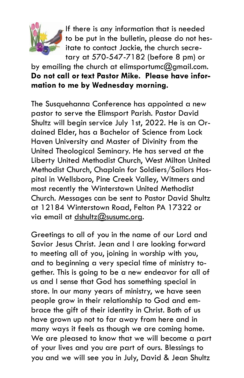

If there is any information that is needed to be put in the bulletin, please do not hesitate to contact Jackie, the church secretary at 570-547-7182 (before 8 pm) or

# by emailing the church at elimsportumc $@$ gmail.com. **Do not call or text Pastor Mike. Please have information to me by Wednesday morning.**

The Susquehanna Conference has appointed a new pastor to serve the Elimsport Parish. Pastor David Shultz will begin service July 1st, 2022. He is an Ordained Elder, has a Bachelor of Science from Lock Haven University and Master of Divinity from the United Theological Seminary. He has served at the Liberty United Methodist Church, West Milton United Methodist Church, Chaplain for Soldiers/Sailors Hospital in Wellsboro, Pine Creek Valley, Witmers and most recently the Winterstown United Methodist Church. Messages can be sent to Pastor David Shultz at 12184 Winterstown Road, Felton PA 17322 or via email at [dshultz@susumc.org.](mailto:dshultz@susumc.org)

Greetings to all of you in the name of our Lord and Savior Jesus Christ. Jean and I are looking forward to meeting all of you, joining in worship with you, and to beginning a very special time of ministry together. This is going to be a new endeavor for all of us and I sense that God has something special in store. In our many years of ministry, we have seen people grow in their relationship to God and embrace the gift of their identity in Christ. Both of us have grown up not to far away from here and in many ways it feels as though we are coming home. We are pleased to know that we will become a part of your lives and you are part of ours. Blessings to you and we will see you in July, David & Jean Shultz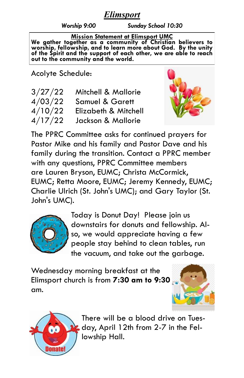### *Elimsport*

*Worship 9:00 Sunday School 10:30*

**Mission Statement at Elimsport UMC We gather together as a community of Christian believers to worship, fellowship, and to learn more about God. By the unity of the Spirit and the support of each other, we are able to reach out to the community and the world.**

Acolyte Schedule:

| 3/27/22 | Mitchell & Mallorie        |
|---------|----------------------------|
| 4/03/22 | <b>Samuel &amp; Garett</b> |
| 4/10/22 | Elizabeth & Mitchell       |
| 4/17/22 | Jackson & Mallorie         |



The PPRC Committee asks for continued prayers for Pastor Mike and his family and Pastor Dave and his family during the transition. Contact a PPRC member with any questions, PPRC Committee members are Lauren Bryson, EUMC; Christa McCormick, EUMC; Retta Moore, EUMC; Jeremy Kennedy, EUMC; Charlie Ulrich (St. John's UMC); and Gary Taylor (St. John's UMC).



Today is Donut Day! Please join us downstairs for donuts and fellowship. Also, we would appreciate having a few people stay behind to clean tables, run the vacuum, and take out the garbage.

Wednesday morning breakfast at the Elimsport church is from **7:30 am to 9:30** am.





There will be a blood drive on Tuesday, April 12th from 2-7 in the Fellowship Hall.